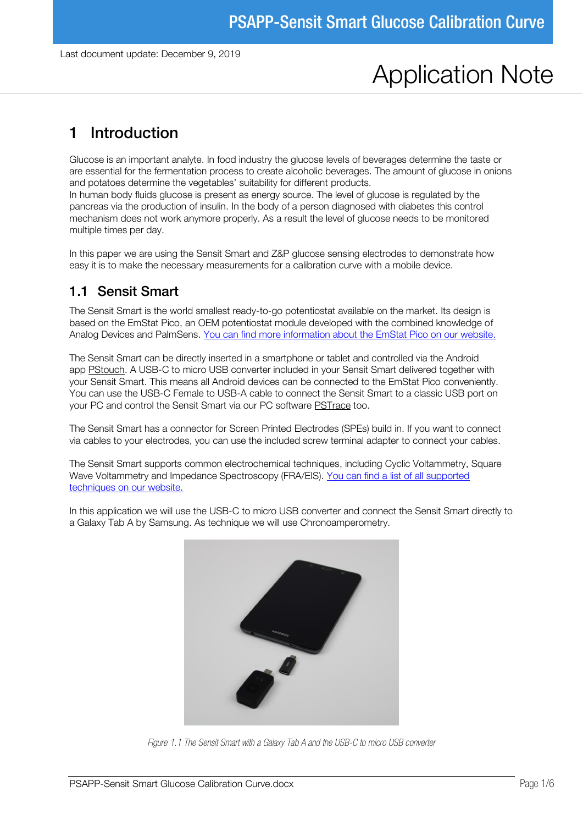# Application Note

## 1 Introduction

Glucose is an important analyte. In food industry the glucose levels of beverages determine the taste or are essential for the fermentation process to create alcoholic beverages. The amount of glucose in onions and potatoes determine the vegetables' suitability for different products.

In human body fluids glucose is present as energy source. The level of glucose is regulated by the pancreas via the production of insulin. In the body of a person diagnosed with diabetes this control mechanism does not work anymore properly. As a result the level of glucose needs to be monitored multiple times per day.

In this paper we are using the Sensit Smart and Z&P glucose sensing electrodes to demonstrate how easy it is to make the necessary measurements for a calibration curve with a mobile device.

#### 1.1 Sensit Smart

The Sensit Smart is the world smallest ready-to-go potentiostat available on the market. Its design is based on the EmStat Pico, an OEM potentiostat module developed with the combined knowledge of Analog Devices and PalmSens. [You can find more information about the EmStat Pico on our website.](https://embed.palmsens.com/product/emstat-pico-module/)

The Sensit Smart can be directly inserted in a smartphone or tablet and controlled via the Android app [PStouch.](https://www.palmsens.com/software/pstouch/) A USB-C to micro USB converter included in your Sensit Smart delivered together with your Sensit Smart. This means all Android devices can be connected to the EmStat Pico conveniently. You can use the USB-C Female to USB-A cable to connect the Sensit Smart to a classic USB port on your PC and control the Sensit Smart via our PC software [PSTrace](https://www.palmsens.com/software/ps-trace/) too.

The Sensit Smart has a connector for Screen Printed Electrodes (SPEs) build in. If you want to connect via cables to your electrodes, you can use the included screw terminal adapter to connect your cables.

The Sensit Smart supports common electrochemical techniques, including Cyclic Voltammetry, Square Wave Voltammetry and Impedance Spectroscopy (FRA/EIS). [You can find a list of all supported](https://www.palmsens.com/product/sensit-smart/)  [techniques on our website.](https://www.palmsens.com/product/sensit-smart/)

In this application we will use the USB-C to micro USB converter and connect the Sensit Smart directly to a Galaxy Tab A by Samsung. As technique we will use Chronoamperometry.



*Figure 1.1 The Sensit Smart with a Galaxy Tab A and the USB-C to micro USB converter*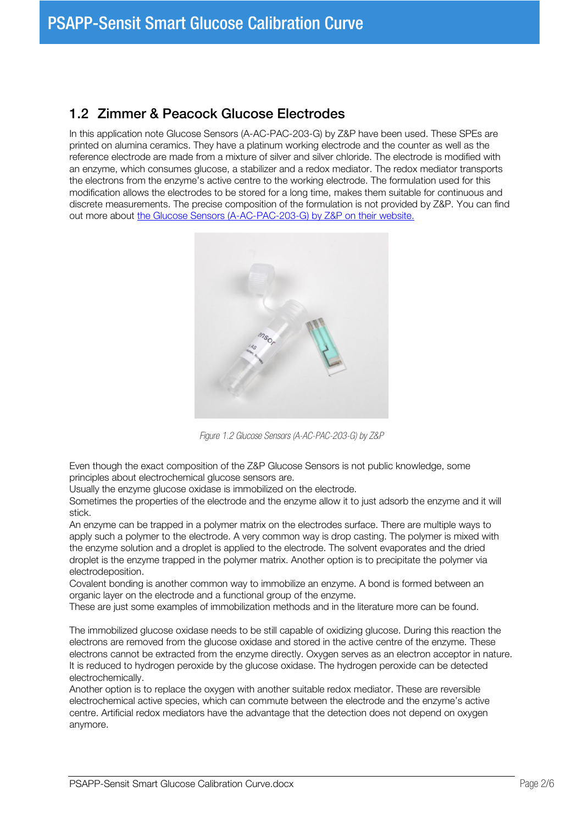#### 1.2 Zimmer & Peacock Glucose Electrodes

In this application note Glucose Sensors (A-AC-PAC-203-G) by Z&P have been used. These SPEs are printed on alumina ceramics. They have a platinum working electrode and the counter as well as the reference electrode are made from a mixture of silver and silver chloride. The electrode is modified with an enzyme, which consumes glucose, a stabilizer and a redox mediator. The redox mediator transports the electrons from the enzyme's active centre to the working electrode. The formulation used for this modification allows the electrodes to be stored for a long time, makes them suitable for continuous and discrete measurements. The precise composition of the formulation is not provided by Z&P. You can find out more about [the Glucose Sensors \(A-AC-PAC-203-G\) by Z&P on their website.](https://www.zimmerpeacocktech.com/products/glucose-sensors/)



*Figure 1.2 Glucose Sensors (A-AC-PAC-203-G) by Z&P*

Even though the exact composition of the Z&P Glucose Sensors is not public knowledge, some principles about electrochemical glucose sensors are.

Usually the enzyme glucose oxidase is immobilized on the electrode.

Sometimes the properties of the electrode and the enzyme allow it to just adsorb the enzyme and it will stick.

An enzyme can be trapped in a polymer matrix on the electrodes surface. There are multiple ways to apply such a polymer to the electrode. A very common way is drop casting. The polymer is mixed with the enzyme solution and a droplet is applied to the electrode. The solvent evaporates and the dried droplet is the enzyme trapped in the polymer matrix. Another option is to precipitate the polymer via electrodeposition.

Covalent bonding is another common way to immobilize an enzyme. A bond is formed between an organic layer on the electrode and a functional group of the enzyme.

These are just some examples of immobilization methods and in the literature more can be found.

The immobilized glucose oxidase needs to be still capable of oxidizing glucose. During this reaction the electrons are removed from the glucose oxidase and stored in the active centre of the enzyme. These electrons cannot be extracted from the enzyme directly. Oxygen serves as an electron acceptor in nature. It is reduced to hydrogen peroxide by the glucose oxidase. The hydrogen peroxide can be detected electrochemically.

Another option is to replace the oxygen with another suitable redox mediator. These are reversible electrochemical active species, which can commute between the electrode and the enzyme's active centre. Artificial redox mediators have the advantage that the detection does not depend on oxygen anymore.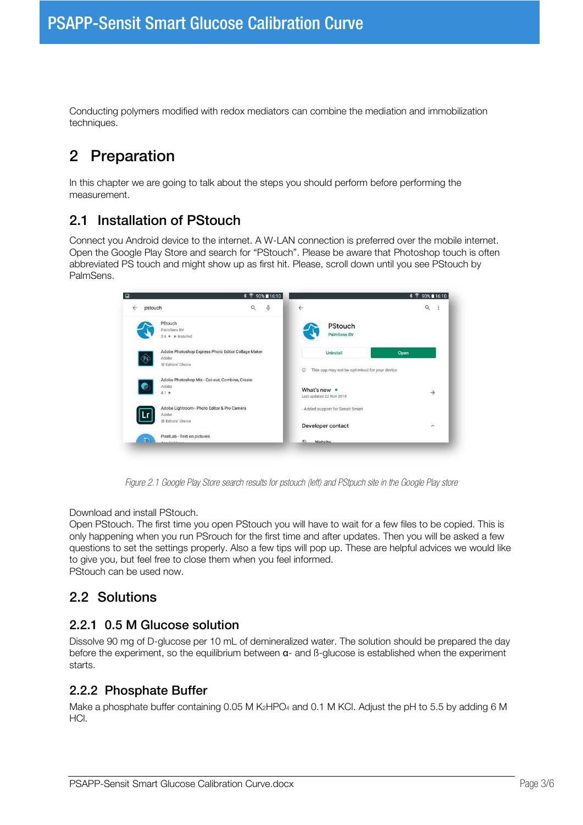Conducting polymers modified with redox mediators can combine the mediation and immobilization techniques.

## 2 Preparation

In this chapter we are going to talk about the steps you should perform before performing the measurement.

#### 2.1 Installation of PStouch

Connect you Android device to the internet. A W-LAN connection is preferred over the mobile internet. Open the Google Play Store and search for "PStouch". Please be aware that Photoshop touch is often abbreviated PS touch and might show up as first hit. Please, scroll down until you see PStouch by PalmSens.



*Figure 2.1 Google Play Store search results for pstouch (left) and PStpuch site in the Google Play store*

Download and install PStouch.

Open PStouch. The first time you open PStouch you will have to wait for a few files to be copied. This is only happening when you run PSrouch for the first time and after updates. Then you will be asked a few questions to set the settings properly. Also a few tips will pop up. These are helpful advices we would like to give you, but feel free to close them when you feel informed.

PStouch can be used now.

#### 2.2 Solutions

#### 2.2.1 0.5 M Glucose solution

Dissolve 90 mg of D-glucose per 10 mL of demineralized water. The solution should be prepared the day before the experiment, so the equilibrium between α- and ß-glucose is established when the experiment starts.

#### 2.2.2 Phosphate Buffer

Make a phosphate buffer containing 0.05 M  $K_2$ HPO<sub>4</sub> and 0.1 M KCl. Adjust the pH to 5.5 by adding 6 M HCl.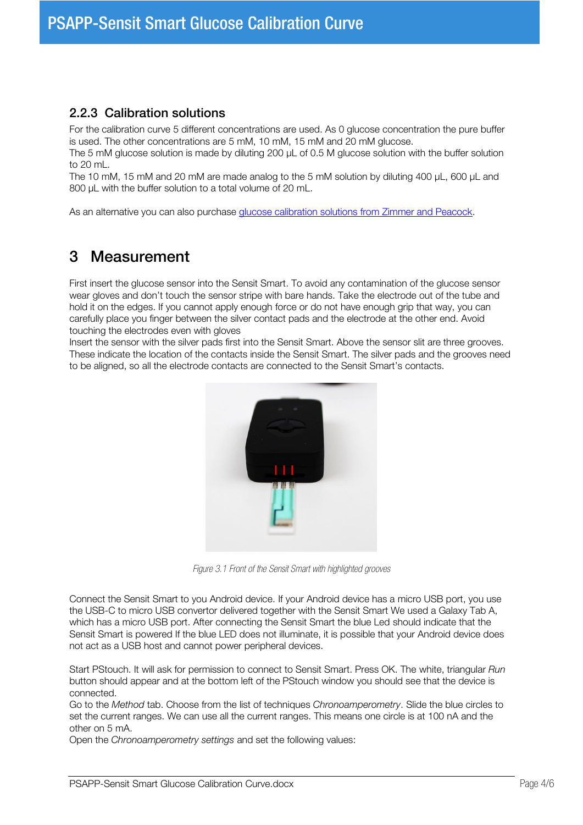#### 2.2.3 Calibration solutions

For the calibration curve 5 different concentrations are used. As 0 glucose concentration the pure buffer is used. The other concentrations are 5 mM, 10 mM, 15 mM and 20 mM glucose.

The 5 mM glucose solution is made by diluting 200 µL of 0.5 M glucose solution with the buffer solution to 20 mL.

The 10 mM, 15 mM and 20 mM are made analog to the 5 mM solution by diluting 400 µL, 600 µL and 800 µL with the buffer solution to a total volume of 20 mL.

As an alternative you can also purchase [glucose calibration solutions from Zimmer and Peacock.](https://www.zimmerpeacocktech.com/products/liquid-solutions/glucose-sensor-calibration/)

### 3 Measurement

First insert the glucose sensor into the Sensit Smart. To avoid any contamination of the glucose sensor wear gloves and don't touch the sensor stripe with bare hands. Take the electrode out of the tube and hold it on the edges. If you cannot apply enough force or do not have enough grip that way, you can carefully place you finger between the silver contact pads and the electrode at the other end. Avoid touching the electrodes even with gloves

Insert the sensor with the silver pads first into the Sensit Smart. Above the sensor slit are three grooves. These indicate the location of the contacts inside the Sensit Smart. The silver pads and the grooves need to be aligned, so all the electrode contacts are connected to the Sensit Smart's contacts.



*Figure 3.1 Front of the Sensit Smart with highlighted grooves*

Connect the Sensit Smart to you Android device. If your Android device has a micro USB port, you use the USB-C to micro USB convertor delivered together with the Sensit Smart We used a Galaxy Tab A, which has a micro USB port. After connecting the Sensit Smart the blue Led should indicate that the Sensit Smart is powered If the blue LED does not illuminate, it is possible that your Android device does not act as a USB host and cannot power peripheral devices.

Start PStouch. It will ask for permission to connect to Sensit Smart. Press OK. The white, triangular Run button should appear and at the bottom left of the PStouch window you should see that the device is connected.

Go to the Method tab. Choose from the list of techniques Chronoamperometry. Slide the blue circles to set the current ranges. We can use all the current ranges. This means one circle is at 100 nA and the other on 5 mA.

Open the Chronoamperometry settings and set the following values: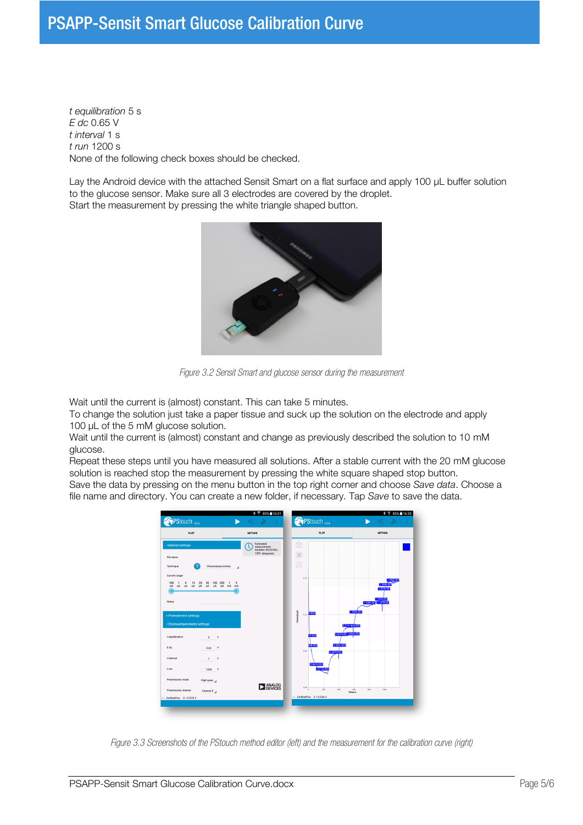## PSAPP-Sensit Smart Glucose Calibration Curve

t equilibration 5 s E dc 0.65 V t interval 1 s t run 1200 s None of the following check boxes should be checked.

Lay the Android device with the attached Sensit Smart on a flat surface and apply 100 µL buffer solution to the glucose sensor. Make sure all 3 electrodes are covered by the droplet. Start the measurement by pressing the white triangle shaped button.



*Figure 3.2 Sensit Smart and glucose sensor during the measurement*

Wait until the current is (almost) constant. This can take 5 minutes.

To change the solution just take a paper tissue and suck up the solution on the electrode and apply 100 µL of the 5 mM glucose solution.

Wait until the current is (almost) constant and change as previously described the solution to 10 mM glucose.

Repeat these steps until you have measured all solutions. After a stable current with the 20 mM glucose solution is reached stop the measurement by pressing the white square shaped stop button.

Save the data by pressing on the menu button in the top right corner and choose Save data. Choose a file name and directory. You can create a new folder, if necessary. Tap Save to save the data.



*Figure 3.3 Screenshots of the PStouch method editor (left) and the measurement for the calibration curve (right)*